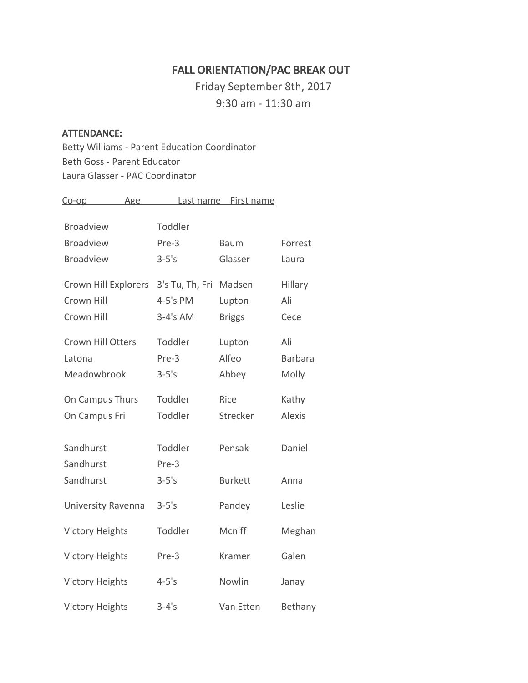# FALL ORIENTATION/PAC BREAK OUT

Friday September 8th, 2017 9:30 am - 11:30 am

#### ATTENDANCE:

Betty Williams - Parent Education Coordinator Beth Goss - Parent Educator Laura Glasser - PAC Coordinator

| <u>Co-op</u>             | Age        | Last name       | First name     |                |
|--------------------------|------------|-----------------|----------------|----------------|
|                          |            |                 |                |                |
| <b>Broadview</b>         | Toddler    |                 |                |                |
| <b>Broadview</b>         | Pre-3      |                 | <b>Baum</b>    | Forrest        |
| <b>Broadview</b>         | $3-5's$    |                 | Glasser        | Laura          |
| Crown Hill Explorers     |            | 3's Tu, Th, Fri | Madsen         | Hillary        |
| Crown Hill               | 4-5's PM   |                 | Lupton         | Ali            |
| Crown Hill               | $3-4's AM$ |                 | <b>Briggs</b>  | Cece           |
| <b>Crown Hill Otters</b> | Toddler    |                 | Lupton         | Ali            |
| Latona                   | Pre-3      |                 | Alfeo          | <b>Barbara</b> |
| Meadowbrook              | $3-5's$    |                 | Abbey          | Molly          |
| On Campus Thurs          | Toddler    |                 | Rice           | Kathy          |
| On Campus Fri            | Toddler    |                 | Strecker       | <b>Alexis</b>  |
| Sandhurst                | Toddler    |                 | Pensak         | Daniel         |
| Sandhurst                | Pre-3      |                 |                |                |
| Sandhurst                | $3-5's$    |                 | <b>Burkett</b> | Anna           |
| University Ravenna       | $3-5's$    |                 | Pandey         | Leslie         |
| <b>Victory Heights</b>   | Toddler    |                 | Mcniff         | Meghan         |
| <b>Victory Heights</b>   | Pre-3      |                 | Kramer         | Galen          |
| <b>Victory Heights</b>   | $4 - 5's$  |                 | Nowlin         | Janay          |
| <b>Victory Heights</b>   | $3 - 4's$  |                 | Van Etten      | Bethany        |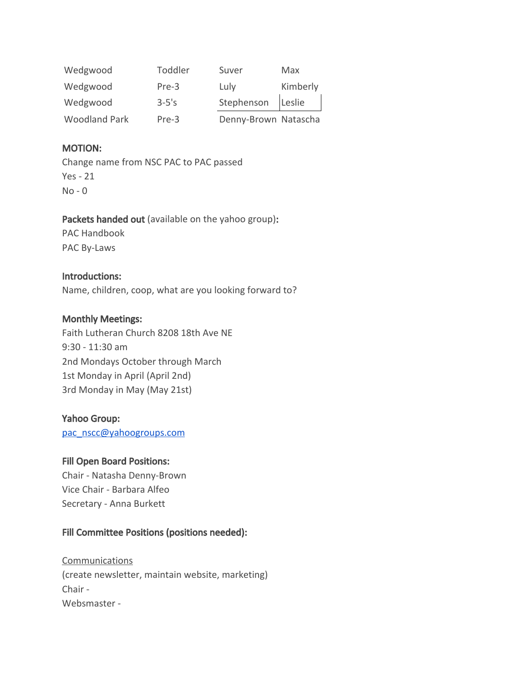| Wedgwood             | Toddler   | Suver                | Max      |
|----------------------|-----------|----------------------|----------|
| Wedgwood             | $Pre-3$   | Luly                 | Kimberly |
| Wedgwood             | $3 - 5's$ | Stephenson Leslie    |          |
| <b>Woodland Park</b> | Pre-3     | Denny-Brown Natascha |          |

## MOTION:

Change name from NSC PAC to PAC passed Yes - 21 No - 0

#### Packets handed out (available on the yahoo group):

PAC Handbook PAC By-Laws

#### Introductions:

Name, children, coop, what are you looking forward to?

#### Monthly Meetings:

Faith Lutheran Church 8208 18th Ave NE 9:30 - 11:30 am 2nd Mondays October through March 1st Monday in April (April 2nd) 3rd Monday in May (May 21st)

#### Yahoo Group:

[pac\\_nscc@yahoogroups.com](mailto:pac_nscc@yahoogroups.com)

#### Fill Open Board Positions:

Chair - Natasha Denny-Brown Vice Chair - Barbara Alfeo Secretary - Anna Burkett

## Fill Committee Positions (positions needed):

**Communications** (create newsletter, maintain website, marketing) Chair - Websmaster -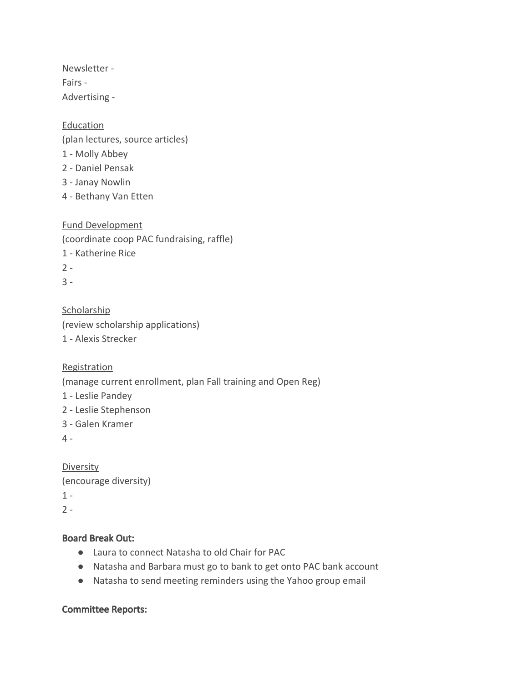Newsletter - Fairs - Advertising -

**Education** (plan lectures, source articles) - Molly Abbey - Daniel Pensak - Janay Nowlin - Bethany Van Etten

Fund Development (coordinate coop PAC fundraising, raffle) 1 - Katherine Rice  $2 -$ 3 -

**Scholarship** (review scholarship applications) 1 - Alexis Strecker

**Registration** 

(manage current enrollment, plan Fall training and Open Reg)

- 1 Leslie Pandey
- 2 Leslie Stephenson
- 3 Galen Kramer

4 -

**Diversity** (encourage diversity)  $1 2 -$ 

## Board Break Out:

- Laura to connect Natasha to old Chair for PAC
- Natasha and Barbara must go to bank to get onto PAC bank account
- Natasha to send meeting reminders using the Yahoo group email

## Committee Reports: